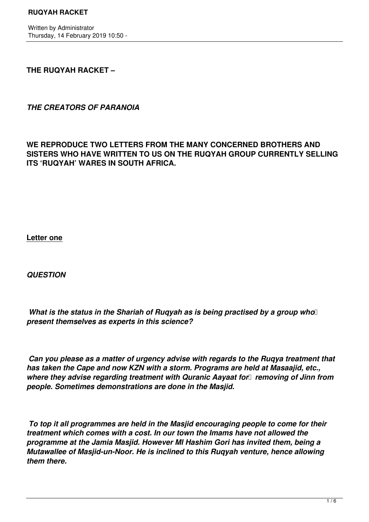Written by Administrator Thursday, 14 February 2019 10:50 -

## **THE RUQYAH RACKET –**

*THE CREATORS OF PARANOIA*

**WE REPRODUCE TWO LETTERS FROM THE MANY CONCERNED BROTHERS AND SISTERS WHO HAVE WRITTEN TO US ON THE RUQYAH GROUP CURRENTLY SELLING ITS 'RUQYAH' WARES IN SOUTH AFRICA.**

**Letter one**

*QUESTION*

*What is the status in the Shariah of Ruqyah as is being practised by a group who present themselves as experts in this science?* 

 *Can you please as a matter of urgency advise with regards to the Ruqya treatment that has taken the Cape and now KZN with a storm. Programs are held at Masaajid, etc., where they advise regarding treatment with Quranic Aavaat for <i>removing of Jinn from people. Sometimes demonstrations are done in the Masjid.*

 *To top it all programmes are held in the Masjid encouraging people to come for their treatment which comes with a cost. In our town the Imams have not allowed the programme at the Jamia Masjid. However Ml Hashim Gori has invited them, being a Mutawallee of Masjid-un-Noor. He is inclined to this Ruqyah venture, hence allowing them there.*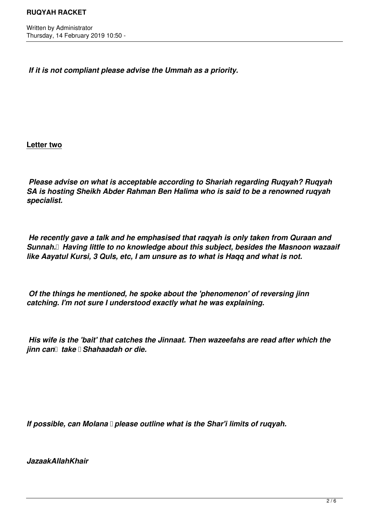*If it is not compliant please advise the Ummah as a priority.* 

**Letter two**

 *Please advise on what is acceptable according to Shariah regarding Ruqyah? Ruqyah SA is hosting Sheikh Abder Rahman Ben Halima who is said to be a renowned ruqyah specialist.* 

 *He recently gave a talk and he emphasised that raqyah is only taken from Quraan and Sunnah. Having little to no knowledge about this subject, besides the Masnoon wazaaif like Aayatul Kursi, 3 Quls, etc, I am unsure as to what is Haqq and what is not.*

 *Of the things he mentioned, he spoke about the 'phenomenon' of reversing jinn catching. I'm not sure I understood exactly what he was explaining.*

 *His wife is the 'bait' that catches the Jinnaat. Then wazeefahs are read after which the jinn can take Shahaadah or die.* 

*If possible, can Molana please outline what is the Shar'i limits of rugyah.* 

*JazaakAllahKhair*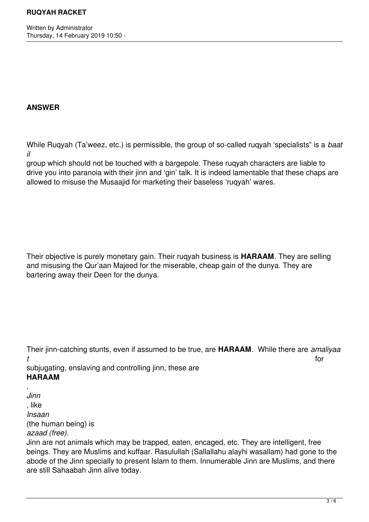Written by Administrator Thursday, 14 February 2019 10:50 -

## **ANSWER**

While Ruqyah (Ta'weez, etc.) is permissible, the group of so-called ruqyah 'specialists" is a *baat il*

group which should not be touched with a bargepole. These ruqyah characters are liable to drive you into paranoia with their jinn and 'gin' talk. It is indeed lamentable that these chaps are allowed to misuse the Musaajid for marketing their baseless 'ruqyah' wares.

Their objective is purely monetary gain. Their ruqyah business is **HARAAM**. They are selling and misusing the Qur'aan Majeed for the miserable, cheap gain of the dunya. They are bartering away their Deen for the dunya.

Their jinn-catching stunts, even if assumed to be true, are **HARAAM**. While there are *amaliyaa t* for

subjugating, enslaving and controlling jinn, these are **HARAAM**

. *Jinn* , like *Insaan*

(the human being) is

## *azaad (free).*

Jinn are not animals which may be trapped, eaten, encaged, etc. They are intelligent, free beings. They are Muslims and kuffaar. Rasulullah (Sallallahu alayhi wasallam) had gone to the abode of the Jinn specially to present Islam to them. Innumerable Jinn are Muslims, and there are still Sahaabah Jinn alive today.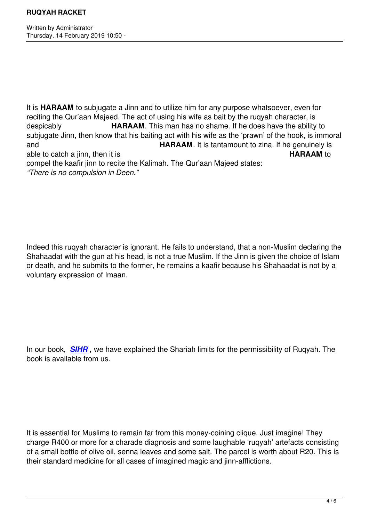Written by Administrator and Administrator and Administrator and Administrator and Administrator and Administrator and Administrator and Administrator and Administrator and Administrator and Administrator and Administrator

It is **HARAAM** to subjugate a Jinn and to utilize him for any purpose whatsoever, even for reciting the Qur'aan Majeed. The act of using his wife as bait by the ruqyah character, is despicably **HARAAM**. This man has no shame. If he does have the ability to subjugate Jinn, then know that his baiting act with his wife as the 'prawn' of the hook, is immoral and **HARAAM**. It is tantamount to zina. If he genuinely is able to catch a jinn, then it is **HARAAM** to compel the kaafir jinn to recite the Kalimah. The Qur'aan Majeed states: *"There is no compulsion in Deen."* 

Indeed this ruqyah character is ignorant. He fails to understand, that a non-Muslim declaring the Shahaadat with the gun at his head, is not a true Muslim. If the Jinn is given the choice of Islam or death, and he submits to the former, he remains a kaafir because his Shahaadat is not by a voluntary expression of Imaan.

In our book, *SIHR ,* we have explained the Shariah limits for the permissibility of Ruqyah. The book is available from us.

It is essential for Muslims to remain far from this money-coining clique. Just imagine! They charge R400 or more for a charade diagnosis and some laughable 'ruqyah' artefacts consisting of a small bottle of olive oil, senna leaves and some salt. The parcel is worth about R20. This is their standard medicine for all cases of imagined magic and jinn-afflictions.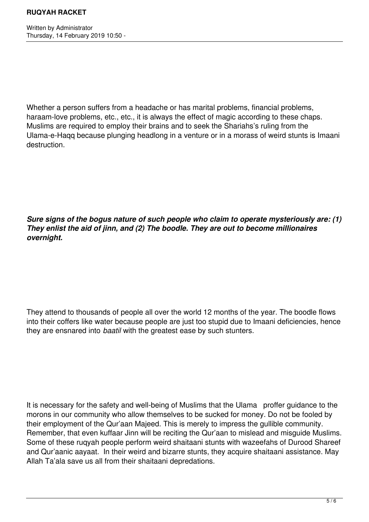Whether a person suffers from a headache or has marital problems, financial problems, haraam-love problems, etc., etc., it is always the effect of magic according to these chaps. Muslims are required to employ their brains and to seek the Shariahs's ruling from the Ulama-e-Haqq because plunging headlong in a venture or in a morass of weird stunts is Imaani destruction.

*Sure signs of the bogus nature of such people who claim to operate mysteriously are: (1) They enlist the aid of jinn, and (2) The boodle. They are out to become millionaires overnight.* 

They attend to thousands of people all over the world 12 months of the year. The boodle flows into their coffers like water because people are just too stupid due to Imaani deficiencies, hence they are ensnared into *baatil* with the greatest ease by such stunters.

It is necessary for the safety and well-being of Muslims that the Ulama proffer guidance to the morons in our community who allow themselves to be sucked for money. Do not be fooled by their employment of the Qur'aan Majeed. This is merely to impress the gullible community. Remember, that even kuffaar Jinn will be reciting the Qur'aan to mislead and misguide Muslims. Some of these ruqyah people perform weird shaitaani stunts with wazeefahs of Durood Shareef and Qur'aanic aayaat. In their weird and bizarre stunts, they acquire shaitaani assistance. May Allah Ta'ala save us all from their shaitaani depredations.